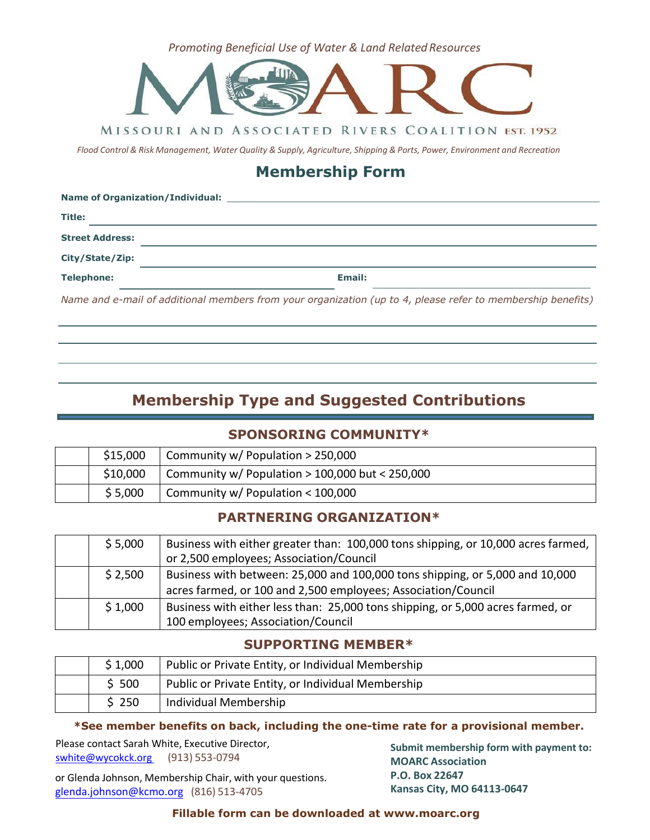**Promoting Beneficial Use of Water & Land Related Resources** 



MISSOURI AND ASSOCIATED RIVERS COALITION EST. 1952

Flood Control & Risk Management, Water Quality & Supply, Agriculture, Shipping & Ports, Power, Environment and Recreation

# **Membership Form**

| Name of Organization/Individual: |                                                                                                             |  |  |  |
|----------------------------------|-------------------------------------------------------------------------------------------------------------|--|--|--|
| Title:                           |                                                                                                             |  |  |  |
| <b>Street Address:</b>           |                                                                                                             |  |  |  |
| City/State/Zip:                  |                                                                                                             |  |  |  |
| <b>Telephone:</b>                | Email:                                                                                                      |  |  |  |
|                                  | Name and e-mail of additional members from your organization (up to 4, please refer to membership benefits) |  |  |  |
|                                  |                                                                                                             |  |  |  |

# **Membership Type and Suggested Contributions**

## **SPONSORING COMMUNITY\***

| \$15,000 | Community w/ Population > 250,000                 |  |  |
|----------|---------------------------------------------------|--|--|
| \$10,000 | Community w/ Population $> 100,000$ but < 250,000 |  |  |
| \$5,000  | Community w/ Population < 100,000                 |  |  |

## **PARTNERING ORGANIZATION\***

| \$5,000 | Business with either greater than: 100,000 tons shipping, or 10,000 acres farmed, |
|---------|-----------------------------------------------------------------------------------|
|         | or 2,500 employees; Association/Council                                           |
| \$2,500 | Business with between: 25,000 and 100,000 tons shipping, or 5,000 and 10,000      |
|         | acres farmed, or 100 and 2,500 employees; Association/Council                     |
| \$1,000 | Business with either less than: 25,000 tons shipping, or 5,000 acres farmed, or   |
|         | 100 employees; Association/Council                                                |

## **SUPPORTING MEMBER\***

| \$1,000 | Public or Private Entity, or Individual Membership |  |
|---------|----------------------------------------------------|--|
| \$500   | Public or Private Entity, or Individual Membership |  |
| \$250   | Individual Membership                              |  |

#### **\*See member benefits on back, including the one-time rate for a provisional member.**

Please contact Sarah White, Executive Director, [swhite@wycokck.org](mailto:swhite@wycokck.org) (913) 553-0794

or Glenda Johnson, Membership Chair, with your questions. g[lenda.johnson@kcmo.org](mailto:Glenda.johnson@kcmo.org) (816) 513-4705

**Submit membership form with payment to: MOARC Association P.O. Box 22647 Kansas City, MO 64113-0647**

#### **Fillable form can be downloaded at [www.moarc.org](http://www.moarc.org/)**